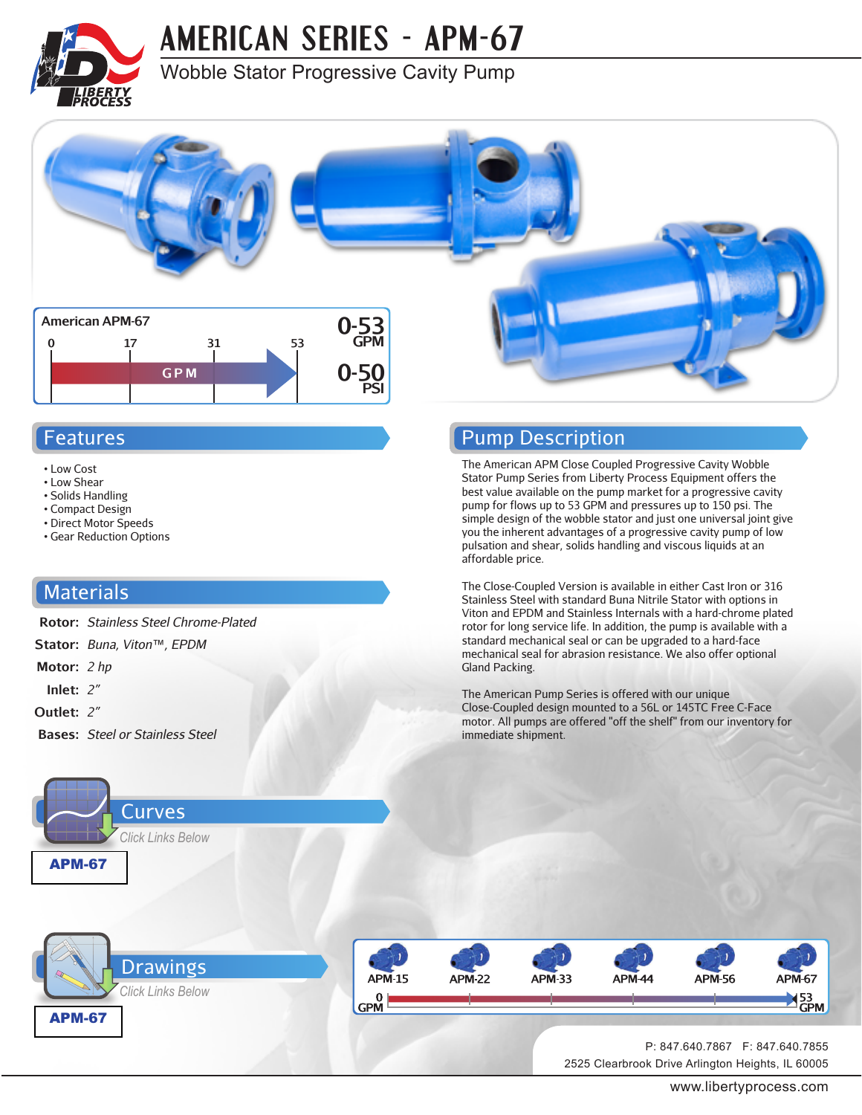

**AMERICAN SERIES - APM-67**

### Wobble Stator Progressive Cavity Pump



#### Features

- Low Cost
- Low Shear
- Solids Handling
- Compact Design
- Direct Motor Speeds • Gear Reduction Options

#### **Materials**

- **Rotor:** *Stainless Steel Chrome-Plated*
- **Stator:** *Buna, Viton™, EPDM*
- **Motor:** *2 hp*
- **Inlet:** *2"*
- **Outlet:** *2"*
- **Bases:** *Steel or Stainless Steel*



#### Pump Description

The American APM Close Coupled Progressive Cavity Wobble Stator Pump Series from Liberty Process Equipment offers the best value available on the pump market for a progressive cavity pump for flows up to 53 GPM and pressures up to 150 psi. The simple design of the wobble stator and just one universal joint give you the inherent advantages of a progressive cavity pump of low pulsation and shear, solids handling and viscous liquids at an affordable price.

The Close-Coupled Version is available in either Cast Iron or 316 Stainless Steel with standard Buna Nitrile Stator with options in Viton and EPDM and Stainless Internals with a hard-chrome plated rotor for long service life. In addition, the pump is available with a standard mechanical seal or can be upgraded to a hard-face mechanical seal for abrasion resistance. We also offer optional Gland Packing.

The American Pump Series is offered with our unique Close-Coupled design mounted to a 56L or 145TC Free C-Face motor. All pumps are offered "off the shelf" from our inventory for immediate shipment.





2525 Clearbrook Drive Arlington Heights, IL 60005 P: 847.640.7867 F: 847.640.7855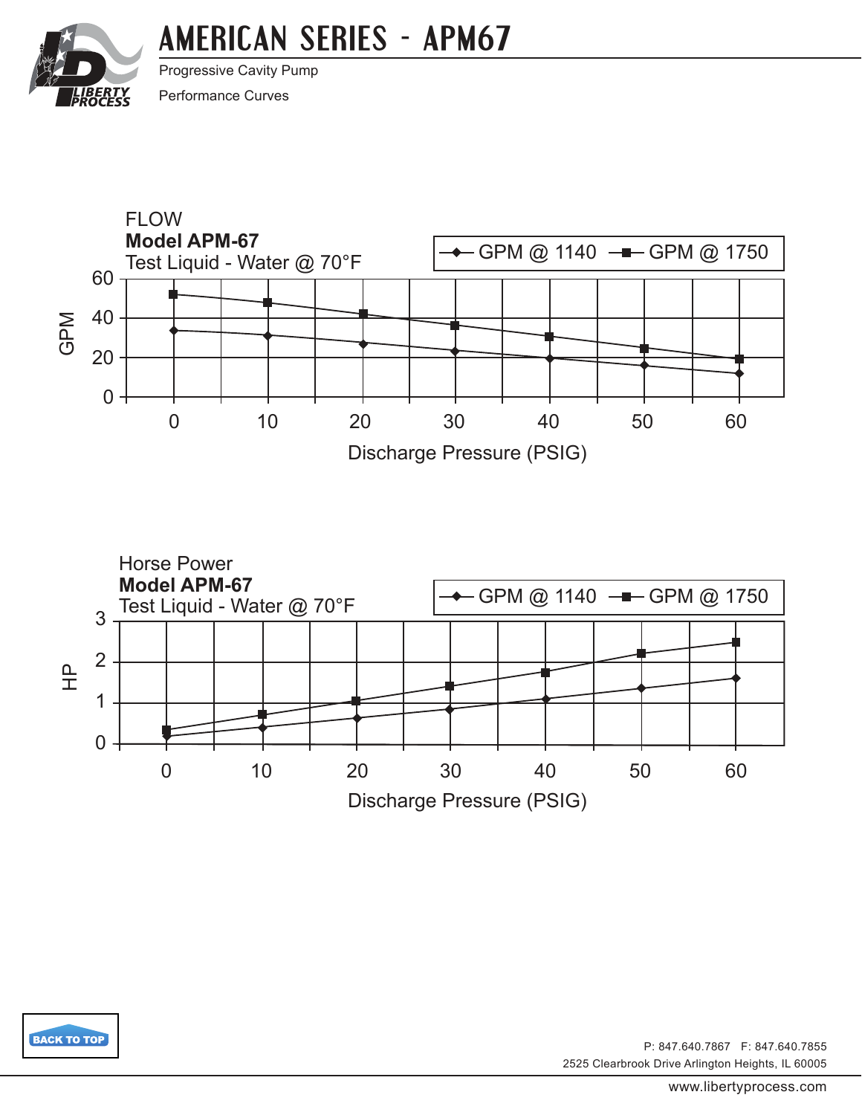# **AMERICAN [SERIES - APM67](http://www.libertyprocess.com/american_apm-67_series_pump.html)**

<span id="page-1-0"></span>

Progressive Cavity Pump

Performance Curves







2525 Clearbrook Drive Arlington Heights, IL 60005 P: 847.640.7867 F: 847.640.7855